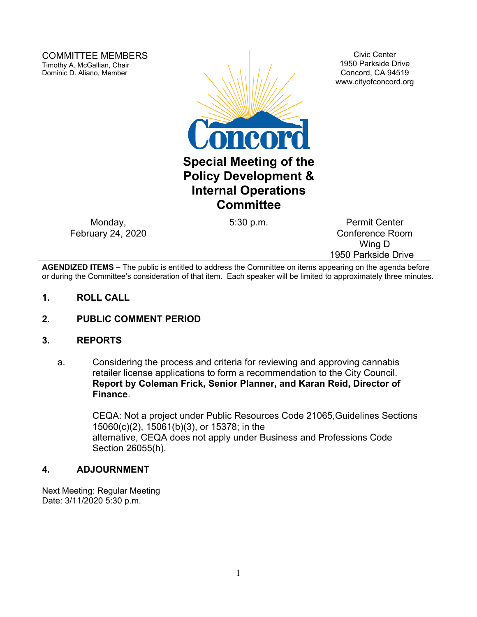COMMITTEE MEMBERS Timothy A. McGallian, Chair Dominic D. Aliano, Member



Civic Center 1950 Parkside Drive Concord, CA 94519 www.cityofconcord.org

Monday, February 24, 2020

5:30 p.m. Permit Center Conference Room Wing D 1950 Parkside Drive

**AGENDIZED ITEMS –** The public is entitled to address the Committee on items appearing on the agenda before or during the Committee's consideration of that item. Each speaker will be limited to approximately three minutes.

- **1. ROLL CALL**
- **2. PUBLIC COMMENT PERIOD**

#### **3. REPORTS**

a. Considering the process and criteria for reviewing and approving cannabis retailer license applications to form a recommendation to the City Council. **Report by Coleman Frick, Senior Planner, and Karan Reid, Director of Finance**.

> CEQA: Not a project under Public Resources Code 21065,Guidelines Sections 15060(c)(2), 15061(b)(3), or 15378; in the alternative, CEQA does not apply under Business and Professions Code Section 26055(h).

#### **4. ADJOURNMENT**

Next Meeting: Regular Meeting Date: 3/11/2020 5:30 p.m.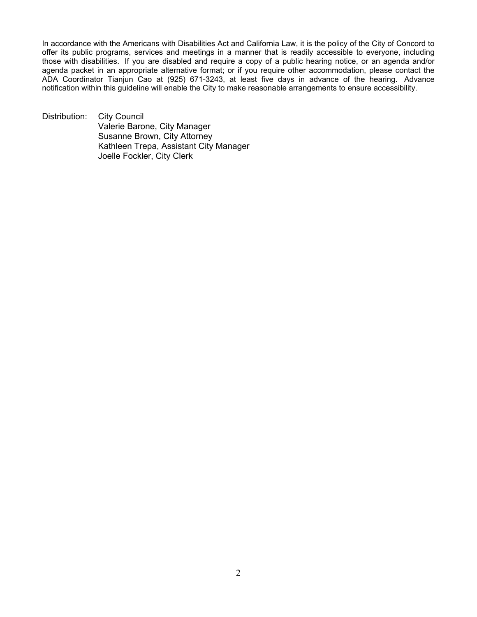In accordance with the Americans with Disabilities Act and California Law, it is the policy of the City of Concord to offer its public programs, services and meetings in a manner that is readily accessible to everyone, including those with disabilities. If you are disabled and require a copy of a public hearing notice, or an agenda and/or agenda packet in an appropriate alternative format; or if you require other accommodation, please contact the ADA Coordinator Tianjun Cao at (925) 671-3243, at least five days in advance of the hearing. Advance notification within this guideline will enable the City to make reasonable arrangements to ensure accessibility.

Distribution: City Council Valerie Barone, City Manager Susanne Brown, City Attorney Kathleen Trepa, Assistant City Manager Joelle Fockler, City Clerk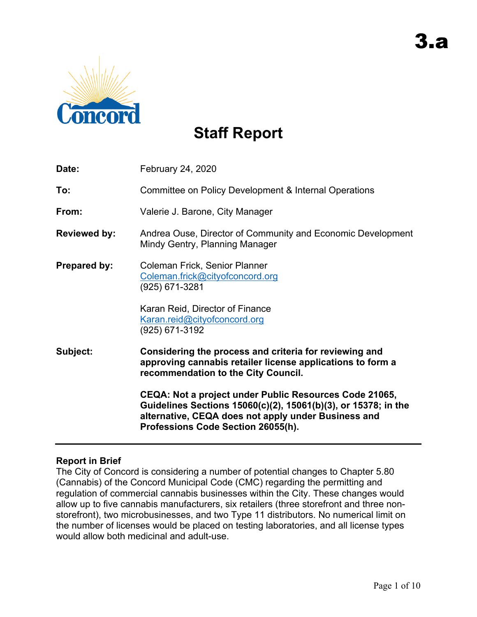

# **Staff Report**

| Date:               | February 24, 2020                                                                                                                                                                                                     |
|---------------------|-----------------------------------------------------------------------------------------------------------------------------------------------------------------------------------------------------------------------|
| To:                 | Committee on Policy Development & Internal Operations                                                                                                                                                                 |
| From:               | Valerie J. Barone, City Manager                                                                                                                                                                                       |
| <b>Reviewed by:</b> | Andrea Ouse, Director of Community and Economic Development<br>Mindy Gentry, Planning Manager                                                                                                                         |
| Prepared by:        | Coleman Frick, Senior Planner<br>Coleman.frick@cityofconcord.org<br>(925) 671-3281                                                                                                                                    |
|                     | Karan Reid, Director of Finance<br>Karan.reid@cityofconcord.org<br>(925) 671-3192                                                                                                                                     |
| Subject:            | Considering the process and criteria for reviewing and<br>approving cannabis retailer license applications to form a<br>recommendation to the City Council.                                                           |
|                     | CEQA: Not a project under Public Resources Code 21065,<br>Guidelines Sections 15060(c)(2), 15061(b)(3), or 15378; in the<br>alternative, CEQA does not apply under Business and<br>Professions Code Section 26055(h). |

# **Report in Brief**

The City of Concord is considering a number of potential changes to Chapter 5.80 (Cannabis) of the Concord Municipal Code (CMC) regarding the permitting and regulation of commercial cannabis businesses within the City. These changes would allow up to five cannabis manufacturers, six retailers (three storefront and three nonstorefront), two microbusinesses, and two Type 11 distributors. No numerical limit on the number of licenses would be placed on testing laboratories, and all license types would allow both medicinal and adult-use.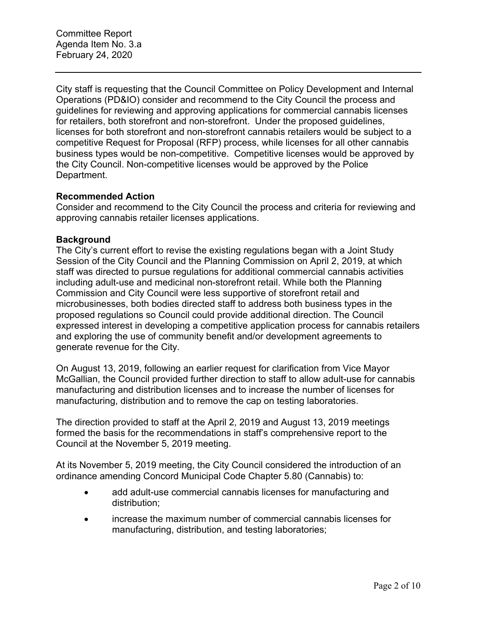Committee Report Agenda Item No. 3.a February 24, 2020

City staff is requesting that the Council Committee on Policy Development and Internal Operations (PD&IO) consider and recommend to the City Council the process and guidelines for reviewing and approving applications for commercial cannabis licenses for retailers, both storefront and non-storefront. Under the proposed guidelines, licenses for both storefront and non-storefront cannabis retailers would be subject to a competitive Request for Proposal (RFP) process, while licenses for all other cannabis business types would be non-competitive. Competitive licenses would be approved by the City Council. Non-competitive licenses would be approved by the Police Department.

#### **Recommended Action**

Consider and recommend to the City Council the process and criteria for reviewing and approving cannabis retailer licenses applications.

#### **Background**

The City's current effort to revise the existing regulations began with a Joint Study Session of the City Council and the Planning Commission on April 2, 2019, at which staff was directed to pursue regulations for additional commercial cannabis activities including adult-use and medicinal non-storefront retail. While both the Planning Commission and City Council were less supportive of storefront retail and microbusinesses, both bodies directed staff to address both business types in the proposed regulations so Council could provide additional direction. The Council expressed interest in developing a competitive application process for cannabis retailers and exploring the use of community benefit and/or development agreements to generate revenue for the City.

On August 13, 2019, following an earlier request for clarification from Vice Mayor McGallian, the Council provided further direction to staff to allow adult-use for cannabis manufacturing and distribution licenses and to increase the number of licenses for manufacturing, distribution and to remove the cap on testing laboratories.

The direction provided to staff at the April 2, 2019 and August 13, 2019 meetings formed the basis for the recommendations in staff's comprehensive report to the Council at the November 5, 2019 meeting.

At its November 5, 2019 meeting, the City Council considered the introduction of an ordinance amending Concord Municipal Code Chapter 5.80 (Cannabis) to:

- add adult-use commercial cannabis licenses for manufacturing and distribution;
- increase the maximum number of commercial cannabis licenses for manufacturing, distribution, and testing laboratories;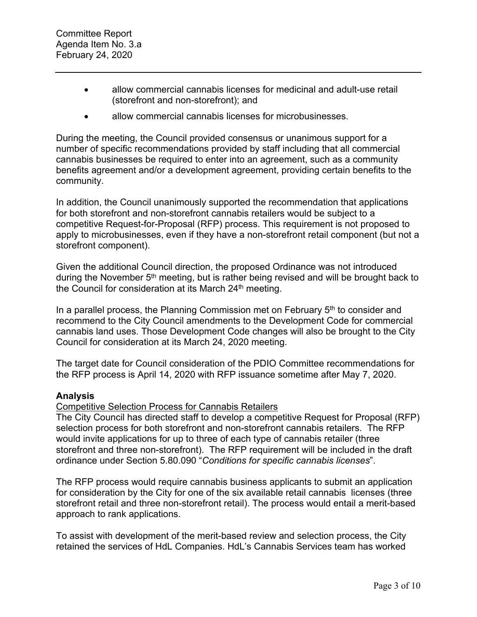- allow commercial cannabis licenses for medicinal and adult-use retail (storefront and non-storefront); and
- allow commercial cannabis licenses for microbusinesses.

During the meeting, the Council provided consensus or unanimous support for a number of specific recommendations provided by staff including that all commercial cannabis businesses be required to enter into an agreement, such as a community benefits agreement and/or a development agreement, providing certain benefits to the community.

In addition, the Council unanimously supported the recommendation that applications for both storefront and non-storefront cannabis retailers would be subject to a competitive Request-for-Proposal (RFP) process. This requirement is not proposed to apply to microbusinesses, even if they have a non-storefront retail component (but not a storefront component).

Given the additional Council direction, the proposed Ordinance was not introduced during the November  $5<sup>th</sup>$  meeting, but is rather being revised and will be brought back to the Council for consideration at its March 24<sup>th</sup> meeting.

In a parallel process, the Planning Commission met on February  $5<sup>th</sup>$  to consider and recommend to the City Council amendments to the Development Code for commercial cannabis land uses. Those Development Code changes will also be brought to the City Council for consideration at its March 24, 2020 meeting.

The target date for Council consideration of the PDIO Committee recommendations for the RFP process is April 14, 2020 with RFP issuance sometime after May 7, 2020.

#### **Analysis**

#### Competitive Selection Process for Cannabis Retailers

The City Council has directed staff to develop a competitive Request for Proposal (RFP) selection process for both storefront and non-storefront cannabis retailers. The RFP would invite applications for up to three of each type of cannabis retailer (three storefront and three non-storefront). The RFP requirement will be included in the draft ordinance under Section 5.80.090 "*Conditions for specific cannabis licenses*".

The RFP process would require cannabis business applicants to submit an application for consideration by the City for one of the six available retail cannabis licenses (three storefront retail and three non-storefront retail). The process would entail a merit-based approach to rank applications.

To assist with development of the merit-based review and selection process, the City retained the services of HdL Companies. HdL's Cannabis Services team has worked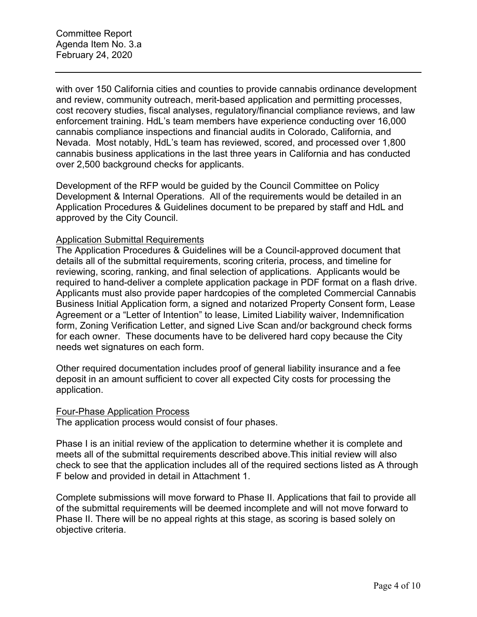Committee Report Agenda Item No. 3.a February 24, 2020

with over 150 California cities and counties to provide cannabis ordinance development and review, community outreach, merit-based application and permitting processes, cost recovery studies, fiscal analyses, regulatory/financial compliance reviews, and law enforcement training. HdL's team members have experience conducting over 16,000 cannabis compliance inspections and financial audits in Colorado, California, and Nevada. Most notably, HdL's team has reviewed, scored, and processed over 1,800 cannabis business applications in the last three years in California and has conducted over 2,500 background checks for applicants.

Development of the RFP would be guided by the Council Committee on Policy Development & Internal Operations. All of the requirements would be detailed in an Application Procedures & Guidelines document to be prepared by staff and HdL and approved by the City Council.

#### Application Submittal Requirements

The Application Procedures & Guidelines will be a Council-approved document that details all of the submittal requirements, scoring criteria, process, and timeline for reviewing, scoring, ranking, and final selection of applications. Applicants would be required to hand-deliver a complete application package in PDF format on a flash drive. Applicants must also provide paper hardcopies of the completed Commercial Cannabis Business Initial Application form, a signed and notarized Property Consent form, Lease Agreement or a "Letter of Intention" to lease, Limited Liability waiver, Indemnification form, Zoning Verification Letter, and signed Live Scan and/or background check forms for each owner. These documents have to be delivered hard copy because the City needs wet signatures on each form.

Other required documentation includes proof of general liability insurance and a fee deposit in an amount sufficient to cover all expected City costs for processing the application.

#### Four-Phase Application Process

The application process would consist of four phases.

Phase I is an initial review of the application to determine whether it is complete and meets all of the submittal requirements described above.This initial review will also check to see that the application includes all of the required sections listed as A through F below and provided in detail in Attachment 1.

Complete submissions will move forward to Phase II. Applications that fail to provide all of the submittal requirements will be deemed incomplete and will not move forward to Phase II. There will be no appeal rights at this stage, as scoring is based solely on objective criteria.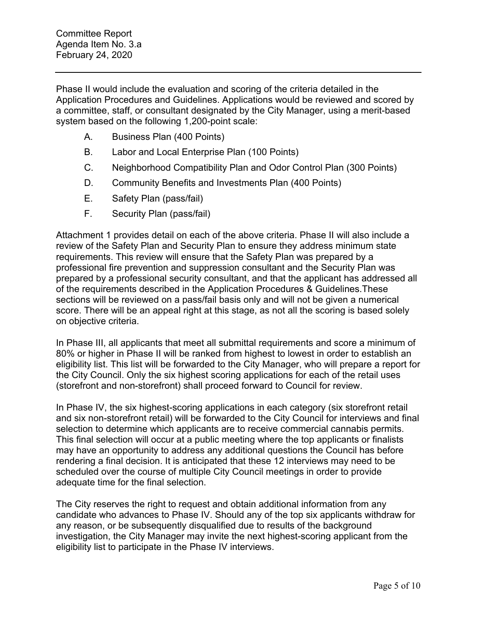Committee Report Agenda Item No. 3.a February 24, 2020

Phase II would include the evaluation and scoring of the criteria detailed in the Application Procedures and Guidelines. Applications would be reviewed and scored by a committee, staff, or consultant designated by the City Manager, using a merit-based system based on the following 1,200-point scale:

- A. Business Plan (400 Points)
- B. Labor and Local Enterprise Plan (100 Points)
- C. Neighborhood Compatibility Plan and Odor Control Plan (300 Points)
- D. Community Benefits and Investments Plan (400 Points)
- E. Safety Plan (pass/fail)
- F. Security Plan (pass/fail)

Attachment 1 provides detail on each of the above criteria. Phase II will also include a review of the Safety Plan and Security Plan to ensure they address minimum state requirements. This review will ensure that the Safety Plan was prepared by a professional fire prevention and suppression consultant and the Security Plan was prepared by a professional security consultant, and that the applicant has addressed all of the requirements described in the Application Procedures & Guidelines.These sections will be reviewed on a pass/fail basis only and will not be given a numerical score. There will be an appeal right at this stage, as not all the scoring is based solely on objective criteria.

In Phase III, all applicants that meet all submittal requirements and score a minimum of 80% or higher in Phase II will be ranked from highest to lowest in order to establish an eligibility list. This list will be forwarded to the City Manager, who will prepare a report for the City Council. Only the six highest scoring applications for each of the retail uses (storefront and non-storefront) shall proceed forward to Council for review.

In Phase IV, the six highest-scoring applications in each category (six storefront retail and six non-storefront retail) will be forwarded to the City Council for interviews and final selection to determine which applicants are to receive commercial cannabis permits. This final selection will occur at a public meeting where the top applicants or finalists may have an opportunity to address any additional questions the Council has before rendering a final decision. It is anticipated that these 12 interviews may need to be scheduled over the course of multiple City Council meetings in order to provide adequate time for the final selection.

The City reserves the right to request and obtain additional information from any candidate who advances to Phase IV. Should any of the top six applicants withdraw for any reason, or be subsequently disqualified due to results of the background investigation, the City Manager may invite the next highest-scoring applicant from the eligibility list to participate in the Phase IV interviews.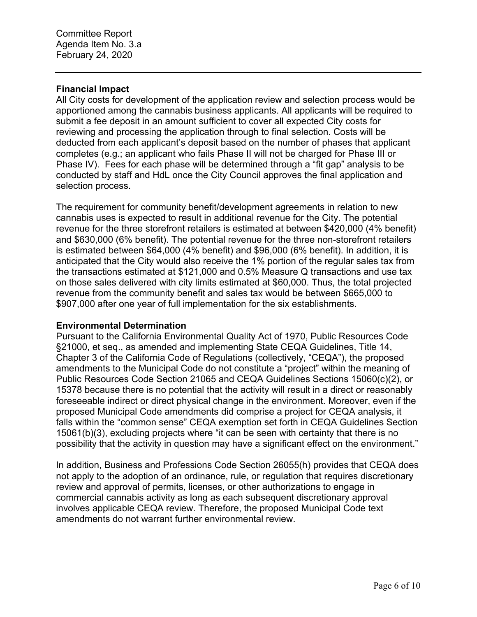#### **Financial Impact**

All City costs for development of the application review and selection process would be apportioned among the cannabis business applicants. All applicants will be required to submit a fee deposit in an amount sufficient to cover all expected City costs for reviewing and processing the application through to final selection. Costs will be deducted from each applicant's deposit based on the number of phases that applicant completes (e.g.; an applicant who fails Phase II will not be charged for Phase III or Phase IV). Fees for each phase will be determined through a "fit gap" analysis to be conducted by staff and HdL once the City Council approves the final application and selection process.

The requirement for community benefit/development agreements in relation to new cannabis uses is expected to result in additional revenue for the City. The potential revenue for the three storefront retailers is estimated at between \$420,000 (4% benefit) and \$630,000 (6% benefit). The potential revenue for the three non-storefront retailers is estimated between \$64,000 (4% benefit) and \$96,000 (6% benefit). In addition, it is anticipated that the City would also receive the 1% portion of the regular sales tax from the transactions estimated at \$121,000 and 0.5% Measure Q transactions and use tax on those sales delivered with city limits estimated at \$60,000. Thus, the total projected revenue from the community benefit and sales tax would be between \$665,000 to \$907,000 after one year of full implementation for the six establishments.

#### **Environmental Determination**

Pursuant to the California Environmental Quality Act of 1970, Public Resources Code §21000, et seq., as amended and implementing State CEQA Guidelines, Title 14, Chapter 3 of the California Code of Regulations (collectively, "CEQA"), the proposed amendments to the Municipal Code do not constitute a "project" within the meaning of Public Resources Code Section 21065 and CEQA Guidelines Sections 15060(c)(2), or 15378 because there is no potential that the activity will result in a direct or reasonably foreseeable indirect or direct physical change in the environment. Moreover, even if the proposed Municipal Code amendments did comprise a project for CEQA analysis, it falls within the "common sense" CEQA exemption set forth in CEQA Guidelines Section 15061(b)(3), excluding projects where "it can be seen with certainty that there is no possibility that the activity in question may have a significant effect on the environment."

In addition, Business and Professions Code Section 26055(h) provides that CEQA does not apply to the adoption of an ordinance, rule, or regulation that requires discretionary review and approval of permits, licenses, or other authorizations to engage in commercial cannabis activity as long as each subsequent discretionary approval involves applicable CEQA review. Therefore, the proposed Municipal Code text amendments do not warrant further environmental review.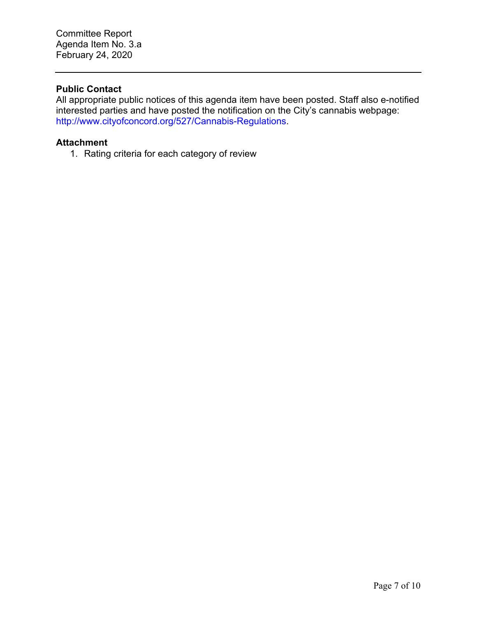#### **Public Contact**

All appropriate public notices of this agenda item have been posted. Staff also e-notified interested parties and have posted the notification on the City's cannabis webpage: http://www.cityofconcord.org/527/Cannabis-Regulations.

#### **Attachment**

1. Rating criteria for each category of review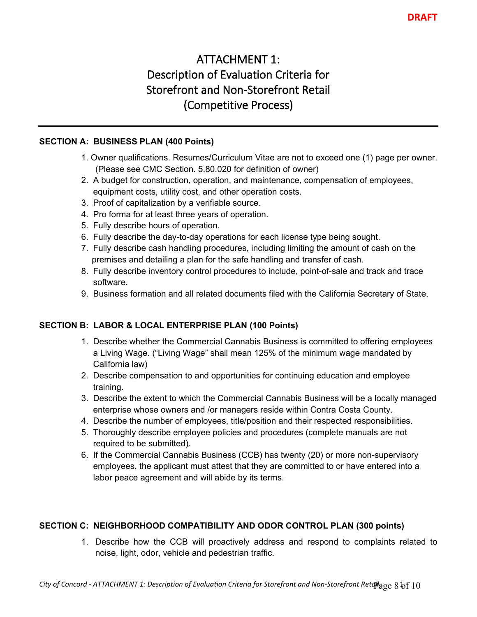# **ATTACHMENT 1: Description of Evaluation Criteria for Storefront and Non-Storefront Retail (Competitive Process)**

#### **SECTION A: BUSINESS PLAN (400 Points)**

- 1. Owner qualifications. Resumes/Curriculum Vitae are not to exceed one (1) page per owner. (Please see CMC Section. 5.80.020 for definition of owner)
- 2. A budget for construction, operation, and maintenance, compensation of employees, equipment costs, utility cost, and other operation costs.
- 3. Proof of capitalization by a verifiable source.
- 4. Pro forma for at least three years of operation.
- 5. Fully describe hours of operation.
- 6. Fully describe the day-to-day operations for each license type being sought.
- 7. Fully describe cash handling procedures, including limiting the amount of cash on the premises and detailing a plan for the safe handling and transfer of cash.
- 8. Fully describe inventory control procedures to include, point-of-sale and track and trace software.
- 9. Business formation and all related documents filed with the California Secretary of State.

# **SECTION B: LABOR & LOCAL ENTERPRISE PLAN (100 Points)**

- 1. Describe whether the Commercial Cannabis Business is committed to offering employees a Living Wage. ("Living Wage" shall mean 125% of the minimum wage mandated by California law)
- 2. Describe compensation to and opportunities for continuing education and employee training.
- 3. Describe the extent to which the Commercial Cannabis Business will be a locally managed enterprise whose owners and /or managers reside within Contra Costa County.
- 4. Describe the number of employees, title/position and their respected responsibilities.
- 5. Thoroughly describe employee policies and procedures (complete manuals are not required to be submitted).
- 6. If the Commercial Cannabis Business (CCB) has twenty (20) or more non-supervisory employees, the applicant must attest that they are committed to or have entered into a labor peace agreement and will abide by its terms.

#### **SECTION C: NEIGHBORHOOD COMPATIBILITY AND ODOR CONTROL PLAN (300 points)**

1. Describe how the CCB will proactively address and respond to complaints related to noise, light, odor, vehicle and pedestrian traffic.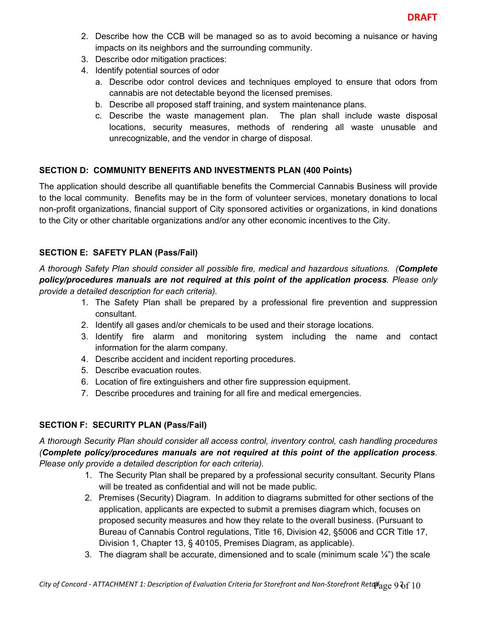- 2. Describe how the CCB will be managed so as to avoid becoming a nuisance or having impacts on its neighbors and the surrounding community.
- 3. Describe odor mitigation practices:
- 4. Identify potential sources of odor
	- a. Describe odor control devices and techniques employed to ensure that odors from cannabis are not detectable beyond the licensed premises.
	- b. Describe all proposed staff training, and system maintenance plans.
	- c. Describe the waste management plan. The plan shall include waste disposal locations, security measures, methods of rendering all waste unusable and unrecognizable, and the vendor in charge of disposal.

## **SECTION D: COMMUNITY BENEFITS AND INVESTMENTS PLAN (400 Points)**

The application should describe all quantifiable benefits the Commercial Cannabis Business will provide to the local community. Benefits may be in the form of volunteer services, monetary donations to local non-profit organizations, financial support of City sponsored activities or organizations, in kind donations to the City or other charitable organizations and/or any other economic incentives to the City.

## **SECTION E: SAFETY PLAN (Pass/Fail)**

*A thorough Safety Plan should consider all possible fire, medical and hazardous situations. (Complete policy/procedures manuals are not required at this point of the application process. Please only provide a detailed description for each criteria).* 

- 1. The Safety Plan shall be prepared by a professional fire prevention and suppression consultant.
- 2. Identify all gases and/or chemicals to be used and their storage locations.
- 3. Identify fire alarm and monitoring system including the name and contact information for the alarm company.
- 4. Describe accident and incident reporting procedures.
- 5. Describe evacuation routes.
- 6. Location of fire extinguishers and other fire suppression equipment.
- 7. Describe procedures and training for all fire and medical emergencies.

# **SECTION F: SECURITY PLAN (Pass/Fail)**

*A thorough Security Plan should consider all access control, inventory control, cash handling procedures (Complete policy/procedures manuals are not required at this point of the application process. Please only provide a detailed description for each criteria).*

- 1. The Security Plan shall be prepared by a professional security consultant. Security Plans will be treated as confidential and will not be made public.
- 2. Premises (Security) Diagram. In addition to diagrams submitted for other sections of the application, applicants are expected to submit a premises diagram which, focuses on proposed security measures and how they relate to the overall business. (Pursuant to Bureau of Cannabis Control regulations, Title 16, Division 42, §5006 and CCR Title 17, Division 1, Chapter 13, § 40105, Premises Diagram, as applicable).
- 3. The diagram shall be accurate, dimensioned and to scale (minimum scale  $\frac{1}{4}$ ) the scale